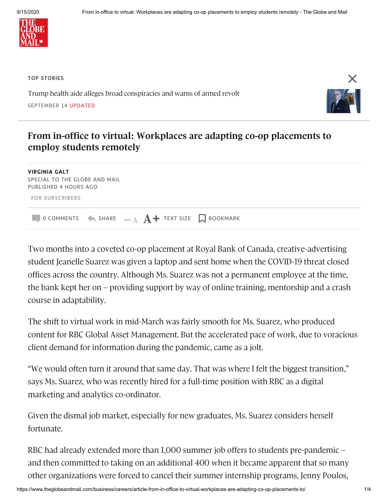

**TOP STORIES**

Trump health aide alleges broad [conspiracies](https://www.theglobeandmail.com/world/us-politics/article-trump-health-aide-alleges-broad-conspiracies-and-warns-of-armed-revolt-6/) and warns of armed revolt SEPTEMBER 14 UPDATED



## **From in-office to virtual: Workplaces are adapting co-op placements to employ students remotely**

**VIRGINIA GALT** SPECIAL TO THE GLOBE AND MAIL PUBLISHED 4 HOURS AGO **FOR SUBSCRIBERS Q** O COMMENTS  $\leftarrow$  SHARE  $\quad$   $\mathbf{A}$  **A**  $\mathbf{+}$  TEXT SIZE  $\Box$  BOOKMARK

Two months into a coveted co-op placement at Royal Bank of Canada, creative-advertising student Jeanelle Suarez was given a laptop and sent home when the COVID-19 threat closed offices across the country. Although Ms. Suarez was not a permanent employee at the time, the bank kept her on – providing support by way of online training, mentorship and a crash course in adaptability.

The shift to virtual work in mid-March was fairly smooth for Ms. Suarez, who produced content for RBC Global Asset Management. But the accelerated pace of work, due to voracious client demand for information during the pandemic, came as a jolt.

"We would often turn it around that same day. That was where I felt the biggest transition," says Ms. Suarez, who was recently hired for a full-time position with RBC as a digital marketing and analytics co-ordinator.

Given the dismal job market, especially for new graduates, Ms. Suarez considers herself fortunate.

RBC had already extended more than 1,000 summer job offers to students pre-pandemic – and then committed to taking on an additional 400 when it became apparent that so many other organizations were forced to cancel their summer internship programs, Jenny Poulos,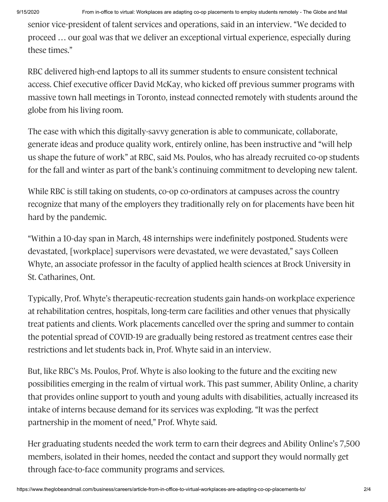9/15/2020 From in-office to virtual: Workplaces are adapting co-op placements to employ students remotely - The Globe and Mail

senior vice-president of talent services and operations, said in an interview. "We decided to proceed … our goal was that we deliver an exceptional virtual experience, especially during these times."

RBC delivered high-end laptops to all its summer students to ensure consistent technical access. Chief executive officer David McKay, who kicked off previous summer programs with massive town hall meetings in Toronto, instead connected remotely with students around the globe from his living room.

The ease with which this digitally-savvy generation is able to communicate, collaborate, generate ideas and produce quality work, entirely online, has been instructive and "will help us shape the future of work" at RBC, said Ms. Poulos, who has already recruited co-op students for the fall and winter as part of the bank's continuing commitment to developing new talent.

While RBC is still taking on students, co-op co-ordinators at campuses across the country recognize that many of the employers they traditionally rely on for placements have been hit hard by the pandemic.

"Within a 10-day span in March, 48 internships were indefinitely postponed. Students were devastated, [workplace] supervisors were devastated, we were devastated," says Colleen Whyte, an associate professor in the faculty of applied health sciences at Brock University in St. Catharines, Ont.

Typically, Prof. Whyte's therapeutic-recreation students gain hands-on workplace experience at rehabilitation centres, hospitals, long-term care facilities and other venues that physically treat patients and clients. Work placements cancelled over the spring and summer to contain the potential spread of COVID-19 are gradually being restored as treatment centres ease their restrictions and let students back in, Prof. Whyte said in an interview.

But, like RBC's Ms. Poulos, Prof. Whyte is also looking to the future and the exciting new possibilities emerging in the realm of virtual work. This past summer, Ability Online, a charity that provides online support to youth and young adults with disabilities, actually increased its intake of interns because demand for its services was exploding. "It was the perfect partnership in the moment of need," Prof. Whyte said.

Her graduating students needed the work term to earn their degrees and Ability Online's 7,500 members, isolated in their homes, needed the contact and support they would normally get through face-to-face community programs and services.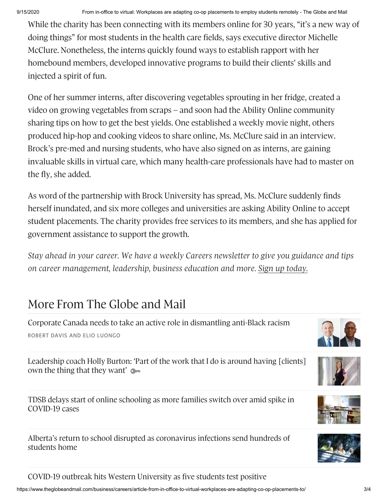While the charity has been connecting with its members online for 30 years, "it's a new way of doing things" for most students in the health care fields, says executive director Michelle McClure. Nonetheless, the interns quickly found ways to establish rapport with her homebound members, developed innovative programs to build their clients' skills and injected a spirit of fun.

One of her summer interns, after discovering vegetables sprouting in her fridge, created a video on growing vegetables from scraps – and soon had the Ability Online community sharing tips on how to get the best yields. One established a weekly movie night, others produced hip-hop and cooking videos to share online, Ms. McClure said in an interview. Brock's pre-med and nursing students, who have also signed on as interns, are gaining invaluable skills in virtual care, which many health-care professionals have had to master on the fly, she added.

As word of the partnership with Brock University has spread, Ms. McClure suddenly finds herself inundated, and six more colleges and universities are asking Ability Online to accept student placements. The charity provides free services to its members, and she has applied for government assistance to support the growth.

*Stay ahead in your career. We have a weekly Careers newsletter to give you guidance and tips on career management, leadership, business education and more. Sign up [today.](https://www.theglobeandmail.com/newsletters/#newsletter-group-2)*

## More From The Globe and Mail

Corporate Canada needs to take an active role in [dismantling](https://www.theglobeandmail.com/business/careers/leadership/article-corporate-canada-needs-to-take-an-active-role-in-dismantling-anti/) anti-Black racism ROBERT DAVIS AND ELIO LUONGO

[Leadership](https://www.theglobeandmail.com/business/careers/career-advice/article-leadership-coach-holly-burton-part-of-the-work-that-i-do-is-around/) coach Holly Burton: 'Part of the work that I do is around having [clients] own the thing that they want'  $\bullet$ 

TDSB delays start of online schooling as more families switch over amid spike in [COVID-19](https://www.theglobeandmail.com/canada/article-tdsb-delays-start-of-online-schooling-as-more-families-switch-over/) cases

Alberta's return to school disrupted as [coronavirus](https://www.theglobeandmail.com/canada/alberta/article-albertas-return-to-school-disrupted-as-coronavirus-infections-send/) infections send hundreds of students home